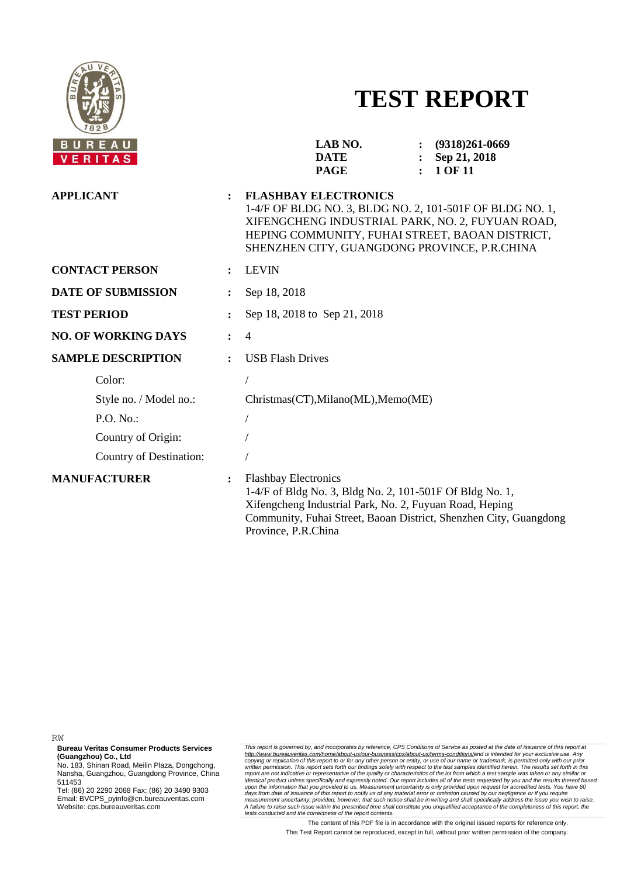

# **TEST REPORT**

| REAU<br><b>ERITAS</b>      |                      | LAB NO.<br>$(9318)261-0669$<br><b>DATE</b><br>Sep 21, 2018<br>1 OF 11<br><b>PAGE</b>                                                                                                                                                           |
|----------------------------|----------------------|------------------------------------------------------------------------------------------------------------------------------------------------------------------------------------------------------------------------------------------------|
| <b>APPLICANT</b>           | $\ddot{\cdot}$       | <b>FLASHBAY ELECTRONICS</b><br>1-4/F OF BLDG NO. 3, BLDG NO. 2, 101-501F OF BLDG NO. 1,<br>XIFENGCHENG INDUSTRIAL PARK, NO. 2, FUYUAN ROAD,<br>HEPING COMMUNITY, FUHAI STREET, BAOAN DISTRICT,<br>SHENZHEN CITY, GUANGDONG PROVINCE, P.R.CHINA |
| <b>CONTACT PERSON</b>      | $\ddot{\phantom{a}}$ | <b>LEVIN</b>                                                                                                                                                                                                                                   |
| <b>DATE OF SUBMISSION</b>  | $\ddot{\cdot}$       | Sep 18, 2018                                                                                                                                                                                                                                   |
| <b>TEST PERIOD</b>         |                      | Sep 18, 2018 to Sep 21, 2018                                                                                                                                                                                                                   |
| <b>NO. OF WORKING DAYS</b> |                      | $\overline{4}$                                                                                                                                                                                                                                 |
| <b>SAMPLE DESCRIPTION</b>  |                      | <b>USB Flash Drives</b>                                                                                                                                                                                                                        |
| Color:                     |                      |                                                                                                                                                                                                                                                |
| Style no. / Model no.:     |                      | Christmas(CT), Milano(ML), Memo(ME)                                                                                                                                                                                                            |
| P.O. No.                   |                      |                                                                                                                                                                                                                                                |
| Country of Origin:         |                      |                                                                                                                                                                                                                                                |
| Country of Destination:    |                      |                                                                                                                                                                                                                                                |
| <b>MANUFACTURER</b>        | $\ddot{\cdot}$       | <b>Flashbay Electronics</b><br>1-4/F of Bldg No. 3, Bldg No. 2, 101-501F Of Bldg No. 1,<br>Xifengcheng Industrial Park, No. 2, Fuyuan Road, Heping<br>Community, Fuhai Street, Baoan District, Shenzhen City, Guangdong<br>Province, P.R.China |

RW

**Bureau Veritas Consumer Products Services (Guangzhou) Co., Ltd**

No. 183, Shinan Road, Meilin Plaza, Dongchong, Nansha, Guangzhou, Guangdong Province, China 511453

Tel: (86) 20 2290 2088 Fax: (86) 20 3490 9303 Email: BVCPS\_pyinfo@cn.bureauveritas.com Website: cps.bureauveritas.com

This report is governed by, and incorporates by reference, CPS Conditions of Service as posted at the date of issuance of this report at http://www.bureauveritas.com/home/about-us/our-business/cps/about-us/temm-conditions/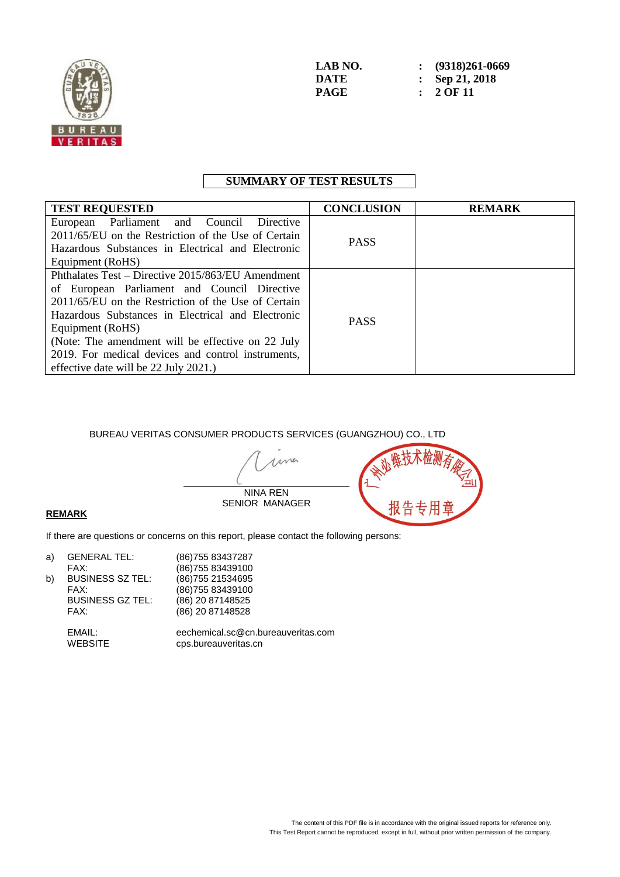

## **SUMMARY OF TEST RESULTS**

| <b>TEST REQUESTED</b>                               | <b>CONCLUSION</b> | <b>REMARK</b> |
|-----------------------------------------------------|-------------------|---------------|
| European Parliament and Council<br>Directive        |                   |               |
| 2011/65/EU on the Restriction of the Use of Certain | <b>PASS</b>       |               |
| Hazardous Substances in Electrical and Electronic   |                   |               |
| Equipment (RoHS)                                    |                   |               |
| Phthalates Test – Directive 2015/863/EU Amendment   |                   |               |
| of European Parliament and Council Directive        |                   |               |
| 2011/65/EU on the Restriction of the Use of Certain | <b>PASS</b>       |               |
| Hazardous Substances in Electrical and Electronic   |                   |               |
| Equipment (RoHS)                                    |                   |               |
| (Note: The amendment will be effective on 22 July   |                   |               |
| 2019. For medical devices and control instruments,  |                   |               |
| effective date will be 22 July 2021.)               |                   |               |

BUREAU VERITAS CONSUMER PRODUCTS SERVICES (GUANGZHOU) CO., LTD

me NINA REN SENIOR MANAGER



#### **REMARK**

If there are questions or concerns on this report, please contact the following persons:

| a) | <b>GENERAL TEL:</b>      | (86) 755 83437287                                          |
|----|--------------------------|------------------------------------------------------------|
|    | FAX:                     | (86) 755 83439100                                          |
| b) | <b>BUSINESS SZ TEL:</b>  | (86) 755 21534695                                          |
|    | FAX:                     | (86) 755 83439100                                          |
|    | <b>BUSINESS GZ TEL:</b>  | (86) 20 87148525                                           |
|    | FAX:                     | (86) 20 87148528                                           |
|    | EMAIL:<br><b>WEBSITE</b> | eechemical.sc@cn.bureauveritas.com<br>cps.bureauveritas.cn |
|    |                          |                                                            |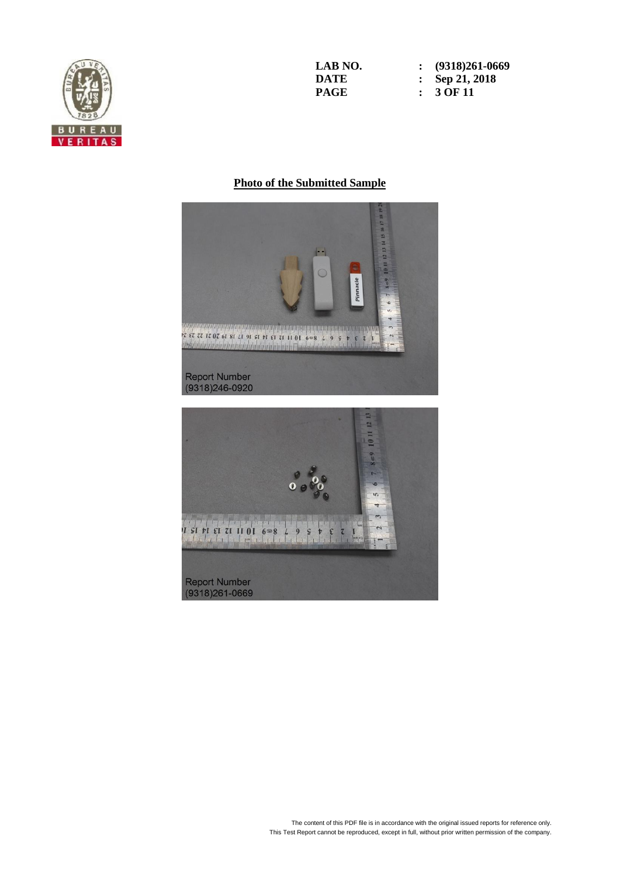

**LAB NO. : (9318)261-0669 DATE : Sep 21, 2018**<br>**PAGE : 3 OF 11 PAGE : 3 OF 11**

#### **Photo of the Submitted Sample**



**Report Number**  $(9318)261 - 0669$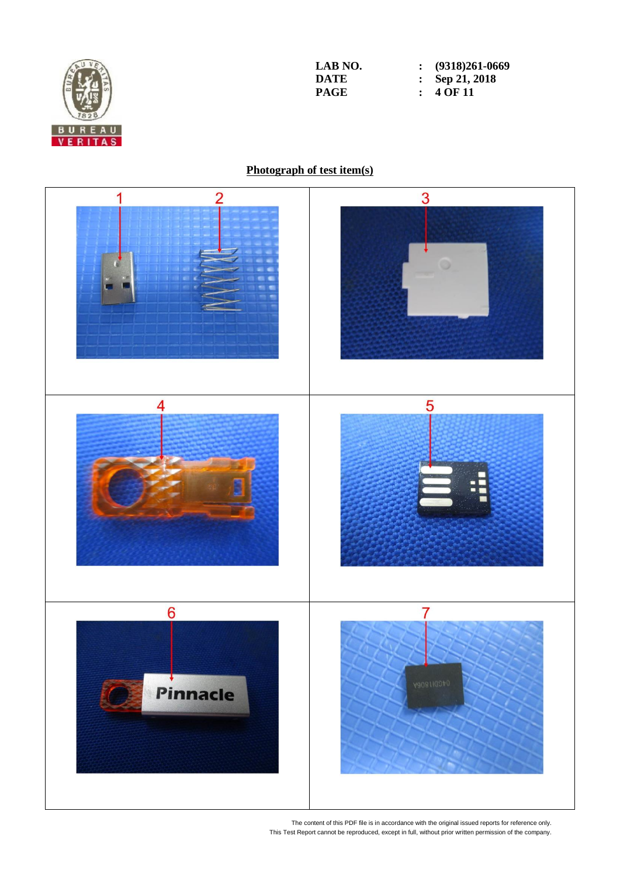

**LAB** NO. <br>**: (9318)261-0669**<br>**DATE : Sep 21, 2018 DATE : Sep 21, 2018**<br>**PAGE : 4 OF 11 :**  $4\overline{OF}11$ 

### **Photograph of test item(s)**

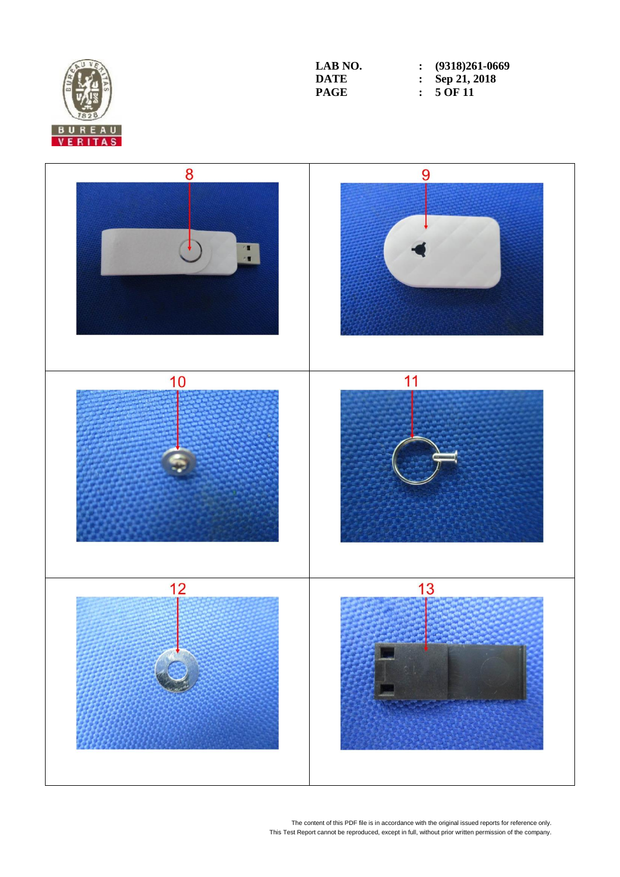

**LAB** NO. <br>**: (9318)261-0669**<br>**DATE : Sep 21, 2018 DATE : Sep 21, 2018**<br>**PAGE :** 5 OF 11  $\cdot$  **5** OF 11

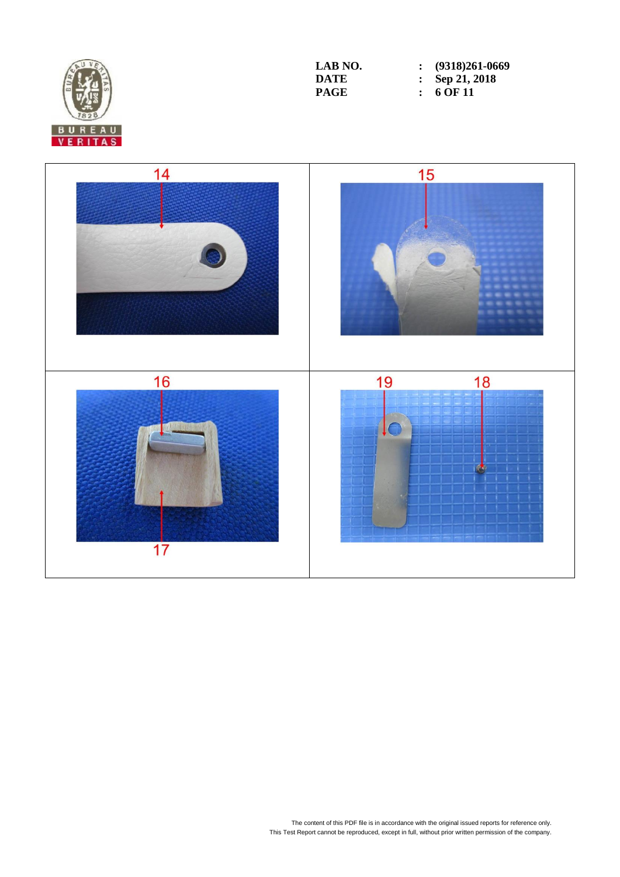

**LAB NO. : (9318)261-0669 DATE : Sep 21, 2018**<br>**PAGE : 6 OF 11 PAGE : 6 OF 11**

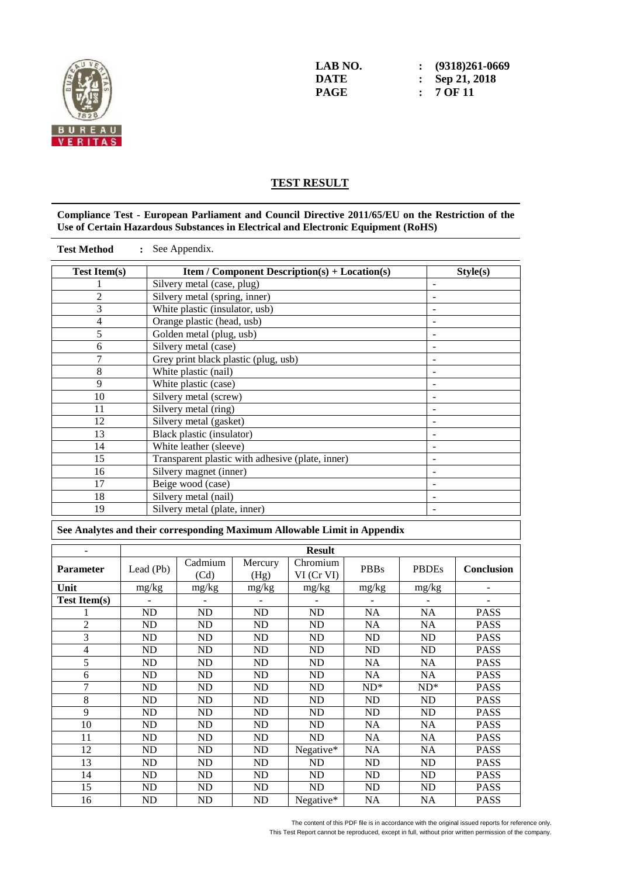

#### **TEST RESULT**

#### **Compliance Test - European Parliament and Council Directive 2011/65/EU on the Restriction of the Use of Certain Hazardous Substances in Electrical and Electronic Equipment (RoHS)**

| <b>Test Item(s)</b> | <b>Item / Component Description(s) + Location(s)</b> | Style(s) |
|---------------------|------------------------------------------------------|----------|
|                     | Silvery metal (case, plug)                           |          |
| $\overline{2}$      | Silvery metal (spring, inner)                        |          |
| 3                   | White plastic (insulator, usb)                       |          |
| $\overline{4}$      | Orange plastic (head, usb)                           |          |
| 5                   | Golden metal (plug, usb)                             |          |
| 6                   | Silvery metal (case)                                 |          |
| $\overline{7}$      | Grey print black plastic (plug, usb)                 |          |
| 8                   | White plastic (nail)                                 |          |
| 9                   | White plastic (case)                                 |          |
| 10                  | Silvery metal (screw)                                |          |
| 11                  | Silvery metal (ring)                                 |          |
| 12                  | Silvery metal (gasket)                               |          |
| 13                  | Black plastic (insulator)                            |          |
| 14                  | White leather (sleeve)                               |          |
| 15                  | Transparent plastic with adhesive (plate, inner)     |          |
| 16                  | Silvery magnet (inner)                               |          |
| 17                  | Beige wood (case)                                    |          |
| 18                  | Silvery metal (nail)                                 |          |
| 19                  | Silvery metal (plate, inner)                         |          |

**See Analytes and their corresponding Maximum Allowable Limit in Appendix**

|                     | <b>Result</b> |                 |                 |                             |             |                |                          |
|---------------------|---------------|-----------------|-----------------|-----------------------------|-------------|----------------|--------------------------|
| <b>Parameter</b>    | Lead (Pb)     | Cadmium<br>(Cd) | Mercury<br>(Hg) | Chromium<br>$VI$ (Cr $VI$ ) | <b>PBBs</b> | <b>PBDEs</b>   | <b>Conclusion</b>        |
| Unit                | mg/kg         | mg/kg           | mg/kg           | mg/kg                       | mg/kg       | mg/kg          | $\overline{\phantom{a}}$ |
| <b>Test Item(s)</b> |               |                 |                 |                             |             |                |                          |
|                     | ND            | ND              | ND              | ND                          | NA          | NA             | <b>PASS</b>              |
| $\overline{2}$      | ND            | ND              | ND              | ND                          | NA          | NA             | <b>PASS</b>              |
| 3                   | ND            | ND              | ND              | ND                          | <b>ND</b>   | N <sub>D</sub> | <b>PASS</b>              |
| 4                   | ND            | ND              | <b>ND</b>       | ND                          | <b>ND</b>   | ND             | <b>PASS</b>              |
| 5                   | ND            | ND              | <b>ND</b>       | ND                          | <b>NA</b>   | <b>NA</b>      | <b>PASS</b>              |
| 6                   | ND            | ND              | <b>ND</b>       | ND                          | <b>NA</b>   | <b>NA</b>      | <b>PASS</b>              |
| 7                   | ND            | <b>ND</b>       | <b>ND</b>       | ND                          | $ND^*$      | $ND^*$         | <b>PASS</b>              |
| 8                   | ND            | ND              | <b>ND</b>       | ND                          | <b>ND</b>   | N <sub>D</sub> | <b>PASS</b>              |
| 9                   | ND            | ND              | <b>ND</b>       | ND                          | <b>ND</b>   | N <sub>D</sub> | <b>PASS</b>              |
| 10                  | ND            | ND              | <b>ND</b>       | ND                          | <b>NA</b>   | <b>NA</b>      | <b>PASS</b>              |
| 11                  | ND            | ND              | <b>ND</b>       | ND                          | <b>NA</b>   | <b>NA</b>      | <b>PASS</b>              |
| 12                  | ND            | <b>ND</b>       | <b>ND</b>       | Negative $*$                | NA          | NA             | <b>PASS</b>              |
| 13                  | ND            | ND              | <b>ND</b>       | ND                          | <b>ND</b>   | N <sub>D</sub> | <b>PASS</b>              |
| 14                  | ND            | ND              | <b>ND</b>       | ND                          | <b>ND</b>   | N <sub>D</sub> | <b>PASS</b>              |
| 15                  | ND            | ND              | ND              | ND                          | <b>ND</b>   | ND             | <b>PASS</b>              |
| 16                  | ND            | ND              | ND              | Negative $*$                | <b>NA</b>   | NA             | <b>PASS</b>              |

The content of this PDF file is in accordance with the original issued reports for reference only.

This Test Report cannot be reproduced, except in full, without prior written permission of the company.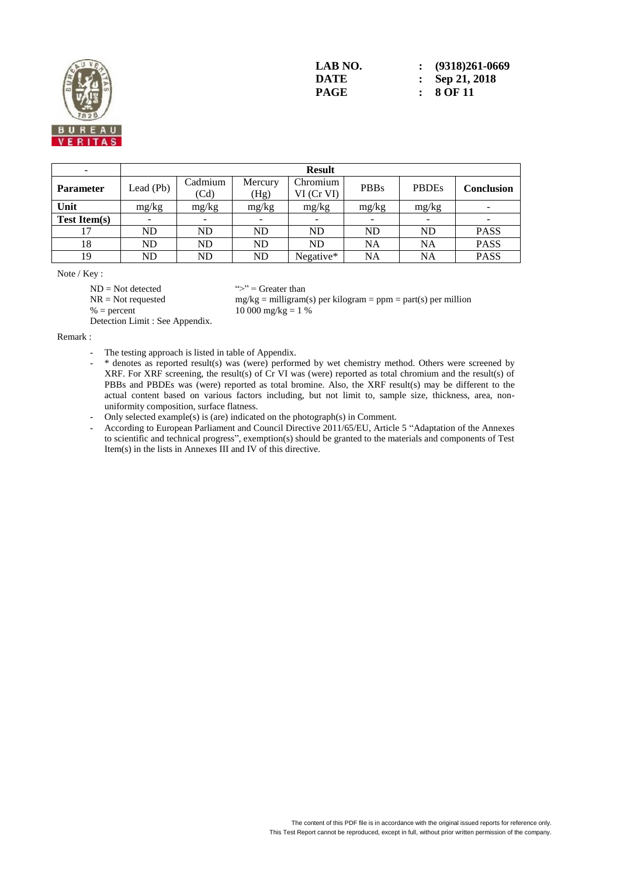

| -                   |                   | <b>Result</b>            |                 |                             |             |              |                   |  |
|---------------------|-------------------|--------------------------|-----------------|-----------------------------|-------------|--------------|-------------------|--|
| <b>Parameter</b>    | $\text{lead}(Pb)$ | Cadmium<br>(Cd)          | Mercury<br>(Hg) | Chromium<br>$VI$ (Cr $VI$ ) | <b>PBBs</b> | <b>PBDEs</b> | <b>Conclusion</b> |  |
| Unit                | mg/kg             | mg/kg                    | mg/kg           | mg/kg                       | mg/kg       | mg/kg        |                   |  |
| <b>Test Item(s)</b> |                   | $\overline{\phantom{a}}$ | -               | $\overline{\phantom{0}}$    |             |              |                   |  |
|                     | ND                | <b>ND</b>                | <b>ND</b>       | <b>ND</b>                   | <b>ND</b>   | <b>ND</b>    | <b>PASS</b>       |  |
| 18                  | ND                | <b>ND</b>                | <b>ND</b>       | <b>ND</b>                   | <b>NA</b>   | <b>NA</b>    | <b>PASS</b>       |  |
| 19                  | ND                | <b>ND</b>                | <b>ND</b>       | Negative*                   | <b>NA</b>   | <b>NA</b>    | <b>PASS</b>       |  |

Note / Key :

 $ND = Not detected$  ">" = Greater than

 $NR = Not requested$  mg/kg = milligram(s) per kilogram = ppm = part(s) per million  $% = percent$  10 000 mg/kg = 1 %

Detection Limit : See Appendix.

Remark :

- The testing approach is listed in table of Appendix.
- \* denotes as reported result(s) was (were) performed by wet chemistry method. Others were screened by XRF. For XRF screening, the result(s) of Cr VI was (were) reported as total chromium and the result(s) of PBBs and PBDEs was (were) reported as total bromine. Also, the XRF result(s) may be different to the actual content based on various factors including, but not limit to, sample size, thickness, area, nonuniformity composition, surface flatness.
- Only selected example(s) is (are) indicated on the photograph(s) in Comment.
- According to European Parliament and Council Directive 2011/65/EU, Article 5 "Adaptation of the Annexes" to scientific and technical progress", exemption(s) should be granted to the materials and components of Test Item(s) in the lists in Annexes III and IV of this directive.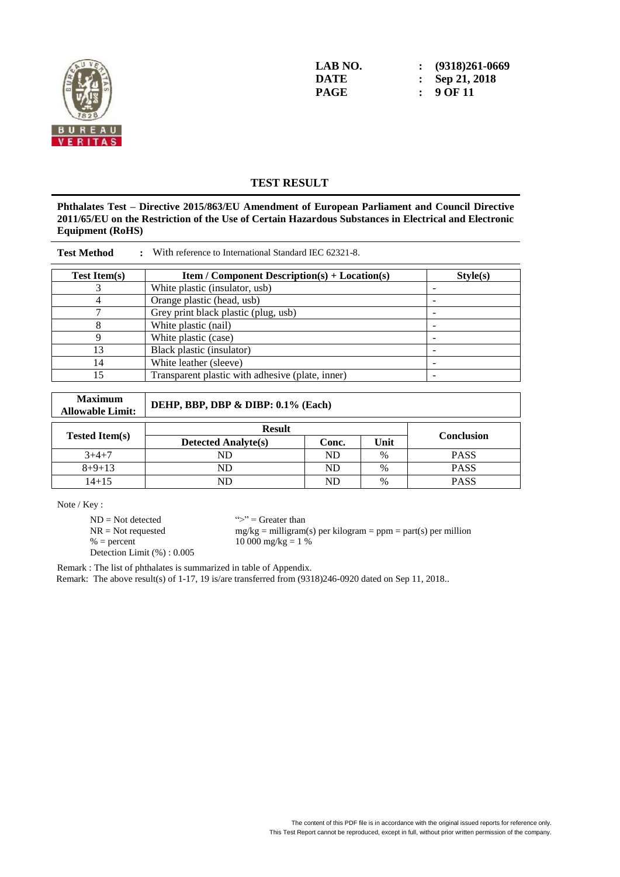

**LAB NO. : (9318)261-0669 DATE : Sep 21, 2018**<br>**PAGE : 9 OF 11 PAGE : 9 OF 11**

#### **TEST RESULT**

**Phthalates Test – Directive 2015/863/EU Amendment of European Parliament and Council Directive 2011/65/EU on the Restriction of the Use of Certain Hazardous Substances in Electrical and Electronic Equipment (RoHS)**

| <b>Test Method</b><br>With reference to International Standard IEC 62321-8. |                                                      |          |  |  |  |  |  |
|-----------------------------------------------------------------------------|------------------------------------------------------|----------|--|--|--|--|--|
| <b>Test Item(s)</b>                                                         | <b>Item</b> / Component Description(s) + Location(s) | Style(s) |  |  |  |  |  |
|                                                                             | White plastic (insulator, usb)                       |          |  |  |  |  |  |
|                                                                             | Orange plastic (head, usb)                           |          |  |  |  |  |  |
|                                                                             | Grey print black plastic (plug, usb)                 |          |  |  |  |  |  |
|                                                                             | White plastic (nail)                                 |          |  |  |  |  |  |
|                                                                             | White plastic (case)                                 |          |  |  |  |  |  |
| 13                                                                          | Black plastic (insulator)                            |          |  |  |  |  |  |
| 14                                                                          | White leather (sleeve)                               |          |  |  |  |  |  |
| 15                                                                          | Transparent plastic with adhesive (plate, inner)     |          |  |  |  |  |  |

| <b>Maximum</b><br><b>Allowable Limit:</b> | DEHP, BBP, DBP & DIBP: 0.1% (Each) |       |               |                   |  |  |  |
|-------------------------------------------|------------------------------------|-------|---------------|-------------------|--|--|--|
|                                           | <b>Result</b>                      |       |               |                   |  |  |  |
| <b>Tested Item(s)</b>                     | <b>Detected Analyte(s)</b>         | Conc. | Unit          | <b>Conclusion</b> |  |  |  |
| $3+4+7$                                   | ND                                 | ND    | $\frac{0}{0}$ | <b>PASS</b>       |  |  |  |
| $8+9+13$                                  | ND                                 | ND    | $\%$          | <b>PASS</b>       |  |  |  |
| $14 + 15$                                 | ND                                 | ND    | $\%$          | <b>PASS</b>       |  |  |  |

Note / Key :

 $ND = Not detected$  ">" = Greater than<br>  $NR = Not$  requested  $mg/kg = milligram$ Detection Limit (%) : 0.005

NR = Not requested mg/kg = milligram(s) per kilogram = ppm = part(s) per million<br>% = percent 10 000 mg/kg = 1 %  $10\,000 \text{ mg/kg} = 1\%$ 

Remark : The list of phthalates is summarized in table of Appendix.

Remark: The above result(s) of 1-17, 19 is/are transferred from (9318)246-0920 dated on Sep 11, 2018..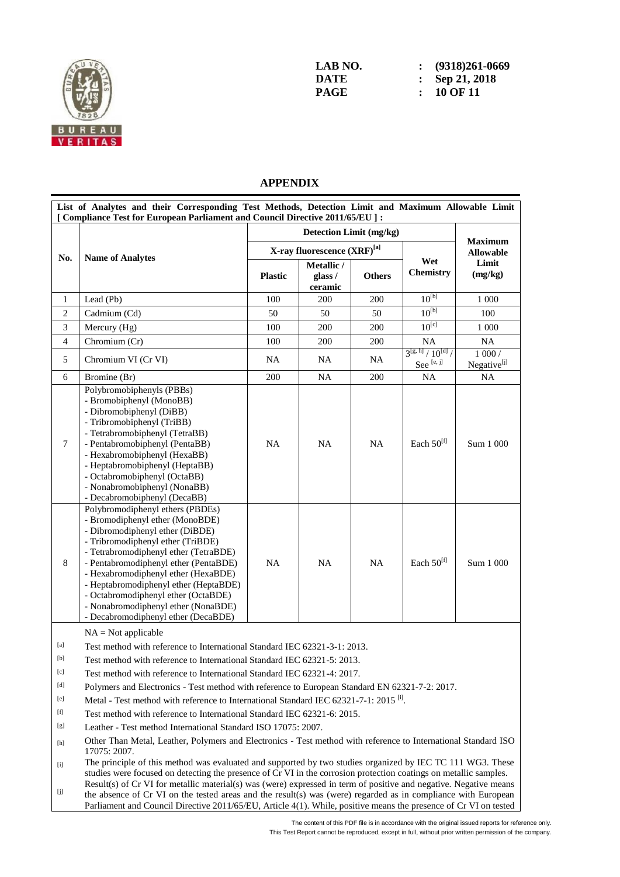

**LAB NO. : (9318)261-0669 DATE : Sep 21, 2018 PAGE : 10 OF 11**

#### **APPENDIX**

|                | List of Analytes and their Corresponding Test Methods, Detection Limit and Maximum Allowable Limit<br>[ Compliance Test for European Parliament and Council Directive 2011/65/EU ] :                                                                                                                                                                                                                                               |                |                                  |               |                                                 |                                    |  |
|----------------|------------------------------------------------------------------------------------------------------------------------------------------------------------------------------------------------------------------------------------------------------------------------------------------------------------------------------------------------------------------------------------------------------------------------------------|----------------|----------------------------------|---------------|-------------------------------------------------|------------------------------------|--|
|                |                                                                                                                                                                                                                                                                                                                                                                                                                                    |                |                                  |               |                                                 |                                    |  |
|                |                                                                                                                                                                                                                                                                                                                                                                                                                                    |                | X-ray fluorescence (XRF)[a]      |               |                                                 | <b>Maximum</b><br><b>Allowable</b> |  |
| No.            | <b>Name of Analytes</b>                                                                                                                                                                                                                                                                                                                                                                                                            | <b>Plastic</b> | Metallic /<br>glass /<br>ceramic | <b>Others</b> |                                                 | Limit<br>(mg/kg)                   |  |
| 1              | Lead (Pb)                                                                                                                                                                                                                                                                                                                                                                                                                          | 100            | 200                              | 200           | $10^{[b]}$                                      | 1 000                              |  |
| $\mathfrak{2}$ | Cadmium (Cd)                                                                                                                                                                                                                                                                                                                                                                                                                       | 50             | 50                               | 50            | $10^{[b]}$                                      | 100                                |  |
| 3              | Mercury (Hg)                                                                                                                                                                                                                                                                                                                                                                                                                       | 100            | 200                              | 200           | $10^{[c]}$                                      | 1 0 0 0                            |  |
| $\overline{4}$ | Chromium (Cr)                                                                                                                                                                                                                                                                                                                                                                                                                      | 100            | 200                              | 200           | <b>NA</b>                                       | NA                                 |  |
| 5              | Chromium VI (Cr VI)                                                                                                                                                                                                                                                                                                                                                                                                                | <b>NA</b>      | NA                               | <b>NA</b>     | $3^{[g, h]}/10^{[d]}/$<br>See <sup>[e, j]</sup> | $1000/$<br>Negative <sup>[j]</sup> |  |
| 6              | Bromine (Br)                                                                                                                                                                                                                                                                                                                                                                                                                       | 200            | NA                               | 200           | NA                                              | NA                                 |  |
| $\tau$         | Polybromobiphenyls (PBBs)<br>- Bromobiphenyl (MonoBB)<br>- Dibromobiphenyl (DiBB)<br>- Tribromobiphenyl (TriBB)<br>- Tetrabromobiphenyl (TetraBB)<br>- Pentabromobiphenyl (PentaBB)<br>- Hexabromobiphenyl (HexaBB)<br>- Heptabromobiphenyl (HeptaBB)<br>- Octabromobiphenyl (OctaBB)<br>- Nonabromobiphenyl (NonaBB)<br>- Decabromobiphenyl (DecaBB)                                                                              | NA             | <b>NA</b>                        | <b>NA</b>     | Each $50^{[f]}$                                 | Sum 1 000                          |  |
| 8              | Polybromodiphenyl ethers (PBDEs)<br>- Bromodiphenyl ether (MonoBDE)<br>- Dibromodiphenyl ether (DiBDE)<br>- Tribromodiphenyl ether (TriBDE)<br>- Tetrabromodiphenyl ether (TetraBDE)<br>- Pentabromodiphenyl ether (PentaBDE)<br>- Hexabromodiphenyl ether (HexaBDE)<br>- Heptabromodiphenyl ether (HeptaBDE)<br>- Octabromodiphenyl ether (OctaBDE)<br>- Nonabromodiphenyl ether (NonaBDE)<br>- Decabromodiphenyl ether (DecaBDE) | <b>NA</b>      | <b>NA</b>                        | <b>NA</b>     | Each $50^{[f]}$                                 | Sum 1 000                          |  |

 $NA = Not$  applicable

[a] Test method with reference to International Standard IEC 62321-3-1: 2013.

[b] Test method with reference to International Standard IEC 62321-5: 2013.

[c] Test method with reference to International Standard IEC 62321-4: 2017.

[d] Polymers and Electronics - Test method with reference to European Standard EN 62321-7-2: 2017.

<sup>[e]</sup> Metal - Test method with reference to International Standard IEC 62321-7-1: 2015<sup>[i]</sup>.

[f] Test method with reference to International Standard IEC 62321-6: 2015.

[g] Leather - Test method International Standard ISO 17075: 2007.

[h] Other Than Metal, Leather, Polymers and Electronics - Test method with reference to International Standard ISO 17075: 2007.

[i] The principle of this method was evaluated and supported by two studies organized by IEC TC 111 WG3. These studies were focused on detecting the presence of  $\hat{C}r$  VI in the corrosion protection coatings on metallic samples.

 $[j]$ Result(s) of Cr VI for metallic material(s) was (were) expressed in term of positive and negative. Negative means the absence of Cr VI on the tested areas and the result(s) was (were) regarded as in compliance with European Parliament and Council Directive 2011/65/EU, Article 4(1). While, positive means the presence of Cr VI on tested

The content of this PDF file is in accordance with the original issued reports for reference only.

This Test Report cannot be reproduced, except in full, without prior written permission of the company.